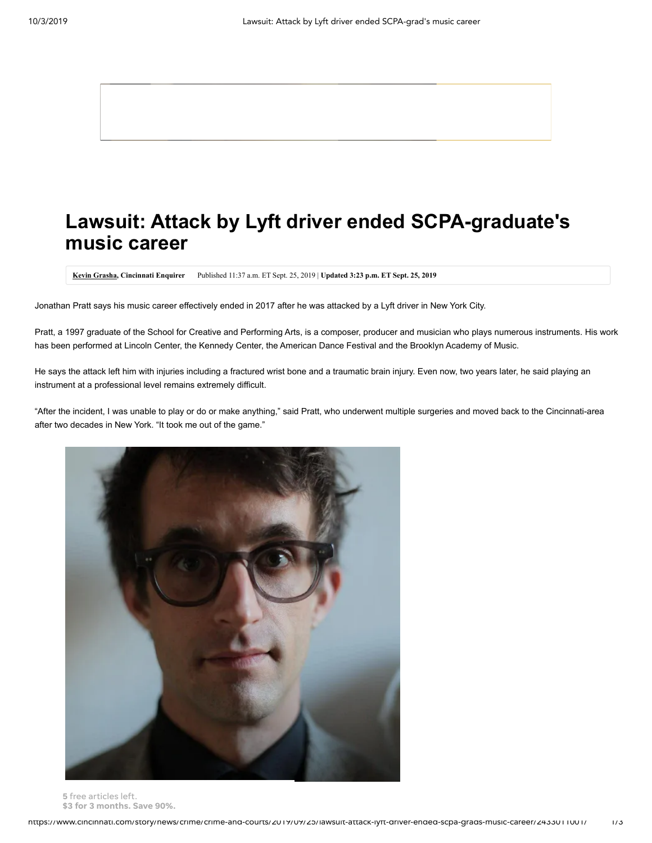# **Lawsuit: Attack by Lyft driver ended SCPA-graduate's music career**

**[Kevin Grasha,](http://www.cincinnati.com/staff/36329/kevin-grasha/) Cincinnati Enquirer** Published 11:37 a.m. ET Sept. 25, 2019 | **Updated 3:23 p.m. ET Sept. 25, 2019**

Jonathan Pratt says his music career effectively ended in 2017 after he was attacked by a Lyft driver in New York City.

Pratt, a 1997 graduate of the School for Creative and Performing Arts, is a composer, producer and musician who plays numerous instruments. His work has been performed at Lincoln Center, the Kennedy Center, the American Dance Festival and the Brooklyn Academy of Music.

He says the attack left him with injuries including a fractured wrist bone and a traumatic brain injury. Even now, two years later, he said playing an instrument at a professional level remains extremely difficult.

"After the incident, I was unable to play or do or make anything," said Pratt, who underwent multiple surgeries and moved back to the Cincinnati-area after two decades in New York. "It took me out of the game."



5 **Jonathan Pratt** *(Photo: Provided)* free articles left. \$3 for 3 months. Save 90%.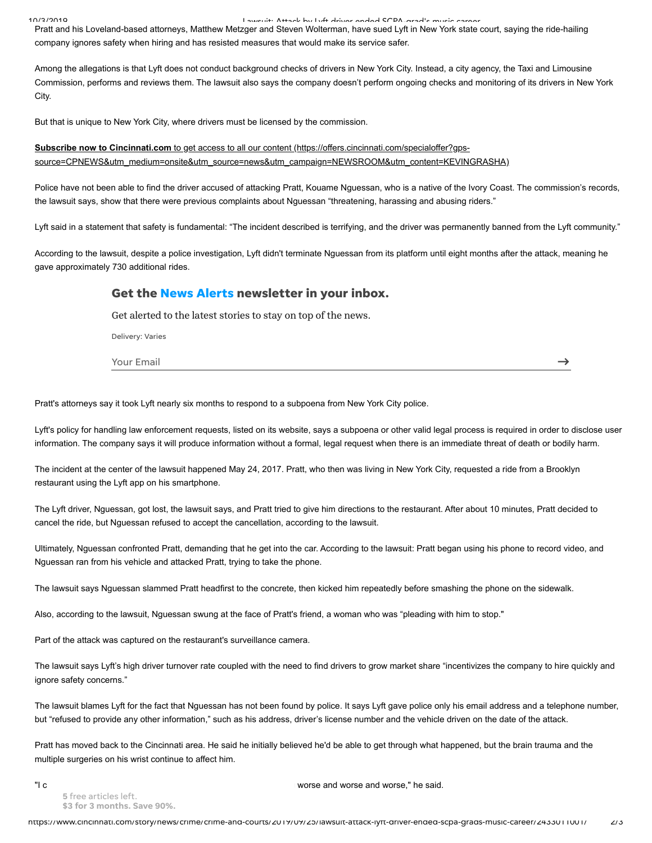10/3/2019 ـ المحطة المحطة المحطة المحطة المحطة المحطة المحطة المحطة المحطة المحطة المحطة المحطة المحطة المحطة<br>Pratt and his Loveland-based attorneys, Matthew Metzger and Steven Wolterman, have sued Lyft in New York state company ignores safety when hiring and has resisted measures that would make its service safer.

Among the allegations is that Lyft does not conduct background checks of drivers in New York City. Instead, a city agency, the Taxi and Limousine Commission, performs and reviews them. The lawsuit also says the company doesn't perform ongoing checks and monitoring of its drivers in New York City.

But that is unique to New York City, where drivers must be licensed by the commission.

# **Subscribe now to Cincinnati.com** to get access to all our content (https://offers.cincinnati.com/specialoffer?gps[source=CPNEWS&utm\\_medium=onsite&utm\\_source=news&utm\\_campaign=NEWSROOM&utm\\_content=KEVINGRASHA\)](https://offers.cincinnati.com/specialoffer?gps-source=CPNEWS&utm_medium=onsite&utm_source=news&utm_campaign=NEWSROOM&utm_content=KEVINGRASHA)

Police have not been able to find the driver accused of attacking Pratt, Kouame Nguessan, who is a native of the Ivory Coast. The commission's records, the lawsuit says, show that there were previous complaints about Nguessan "threatening, harassing and abusing riders."

Lyft said in a statement that safety is fundamental: "The incident described is terrifying, and the driver was permanently banned from the Lyft community."

According to the lawsuit, despite a police investigation, Lyft didn't terminate Nguessan from its platform until eight months after the attack, meaning he gave approximately 730 additional rides.

## Get the News Alerts newsletter in your inbox.

Get alerted to the latest stories to stay on top of the news.

Delivery: Varies

Your Email

 $\rightarrow$ 

Pratt's attorneys say it took Lyft nearly six months to respond to a subpoena from New York City police.

Lyft's policy for handling law enforcement requests, listed on its website, says a subpoena or other valid legal process is required in order to disclose user information. The company says it will produce information without a formal, legal request when there is an immediate threat of death or bodily harm.

The incident at the center of the lawsuit happened May 24, 2017. Pratt, who then was living in New York City, requested a ride from a Brooklyn restaurant using the Lyft app on his smartphone.

The Lyft driver, Nguessan, got lost, the lawsuit says, and Pratt tried to give him directions to the restaurant. After about 10 minutes, Pratt decided to cancel the ride, but Nguessan refused to accept the cancellation, according to the lawsuit.

Ultimately, Nguessan confronted Pratt, demanding that he get into the car. According to the lawsuit: Pratt began using his phone to record video, and Nguessan ran from his vehicle and attacked Pratt, trying to take the phone.

The lawsuit says Nguessan slammed Pratt headfirst to the concrete, then kicked him repeatedly before smashing the phone on the sidewalk.

Also, according to the lawsuit, Nguessan swung at the face of Pratt's friend, a woman who was "pleading with him to stop."

Part of the attack was captured on the restaurant's surveillance camera.

The lawsuit says Lyft's high driver turnover rate coupled with the need to find drivers to grow market share "incentivizes the company to hire quickly and ignore safety concerns."

The lawsuit blames Lyft for the fact that Nguessan has not been found by police. It says Lyft gave police only his email address and a telephone number, but "refused to provide any other information," such as his address, driver's license number and the vehicle driven on the date of the attack.

Pratt has moved back to the Cincinnati area. He said he initially believed he'd be able to get through what happened, but the brain trauma and the multiple surgeries on his wrist continue to affect him.

5 free articles left. \$3 for 3 months. Save 90%.

"I can only describe it as a nightmare that kept unformulate that kept unformulate it as a nightmare that kept unfor